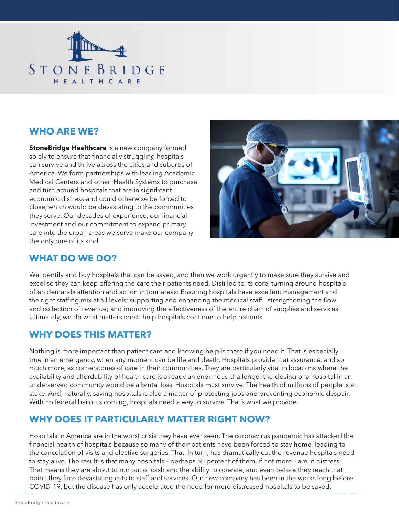

### **WHO ARE WE?**

**StoneBridge Healthcare** is a new company formed solely to ensure that financially struggling hospitals can survive and thrive across the cities and suburbs of America. We form partnerships with leading Academic Medical Centers and other Health Systems to purchase and turn around hospitals that are in significant economic distress and could otherwise be forced to close, which would be devastating to the communities they serve. Our decades of experience, our financial investment and our commitment to expand primary care into the urban areas we serve make our company the only one of its kind.



#### **WHAT DO WE DO?**

We identify and buy hospitals that can be saved, and then we work urgently to make sure they survive and excel so they can keep offering the care their patients need. Distilled to its core, turning around hospitals often demands attention and action in four areas: Ensuring hospitals have excellent management and the right staffing mix at all levels; supporting and enhancing the medical staff; strengthening the flow and collection of revenue; and improving the effectiveness of the entire chain of supplies and services. Ultimately, we do what matters most: help hospitals continue to help patients.

### **WHY DOES THIS MATTER?**

Nothing is more important than patient care and knowing help is there if you need it. That is especially true in an emergency, when any moment can be life and death. Hospitals provide that assurance, and so much more, as cornerstones of care in their communities. They are particularly vital in locations where the availability and affordability of health care is already an enormous challenge; the closing of a hospital in an underserved community would be a brutal loss. Hospitals must survive. The health of millions of people is at stake. And, naturally, saving hospitals is also a matter of protecting jobs and preventing economic despair. With no federal bailouts coming, hospitals need a way to survive. That's what we provide.

### **WHY DOES IT PARTICULARLY MATTER RIGHT NOW?**

Hospitals in America are in the worst crisis they have ever seen. The coronavirus pandemic has attacked the financial health of hospitals because so many of their patients have been forced to stay home, leading to the cancelation of visits and elective surgeries. That, in turn, has dramatically cut the revenue hospitals need to stay alive. The result is that many hospitals – perhaps 50 percent of them, if not more – are in distress. That means they are about to run out of cash and the ability to operate, and even before they reach that point, they face devastating cuts to staff and services. Our new company has been in the works long before COVID-19, but the disease has only accelerated the need for more distressed hospitals to be saved.